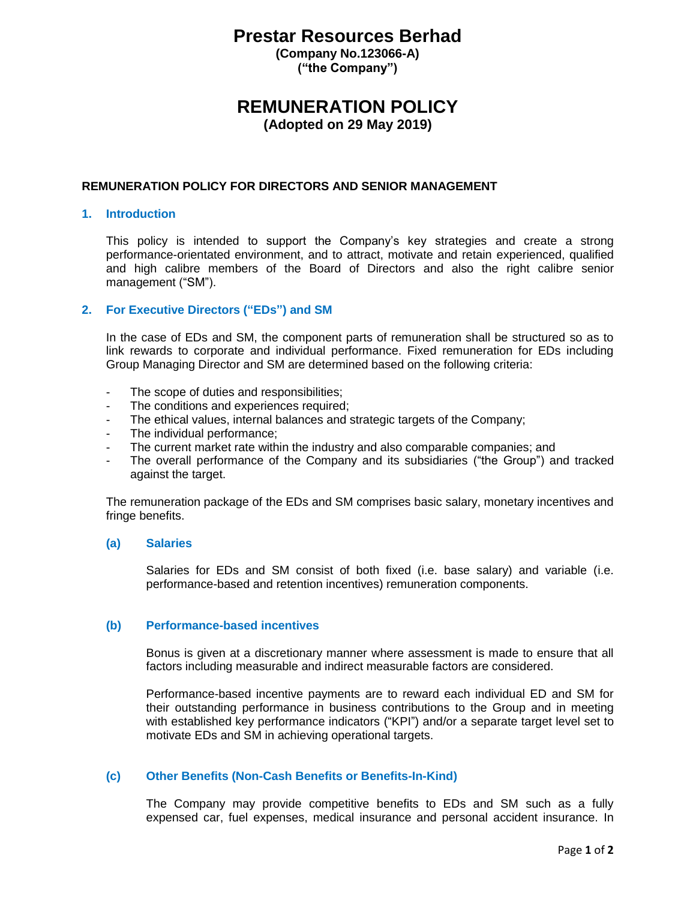# **Prestar Resources Berhad**

**(Company No.123066-A) ("the Company")**

## **REMUNERATION POLICY**

**(Adopted on 29 May 2019)**

## **REMUNERATION POLICY FOR DIRECTORS AND SENIOR MANAGEMENT**

#### **1. Introduction**

This policy is intended to support the Company's key strategies and create a strong performance-orientated environment, and to attract, motivate and retain experienced, qualified and high calibre members of the Board of Directors and also the right calibre senior management ("SM").

### **2. For Executive Directors ("EDs") and SM**

In the case of EDs and SM, the component parts of remuneration shall be structured so as to link rewards to corporate and individual performance. Fixed remuneration for EDs including Group Managing Director and SM are determined based on the following criteria:

- The scope of duties and responsibilities;
- The conditions and experiences required;
- The ethical values, internal balances and strategic targets of the Company;
- The individual performance;
- The current market rate within the industry and also comparable companies; and
- The overall performance of the Company and its subsidiaries ("the Group") and tracked against the target.

The remuneration package of the EDs and SM comprises basic salary, monetary incentives and fringe benefits.

#### **(a) Salaries**

Salaries for EDs and SM consist of both fixed (i.e. base salary) and variable (i.e. performance-based and retention incentives) remuneration components.

#### **(b) Performance-based incentives**

Bonus is given at a discretionary manner where assessment is made to ensure that all factors including measurable and indirect measurable factors are considered.

Performance-based incentive payments are to reward each individual ED and SM for their outstanding performance in business contributions to the Group and in meeting with established key performance indicators ("KPI") and/or a separate target level set to motivate EDs and SM in achieving operational targets.

#### **(c) Other Benefits (Non-Cash Benefits or Benefits-In-Kind)**

The Company may provide competitive benefits to EDs and SM such as a fully expensed car, fuel expenses, medical insurance and personal accident insurance. In